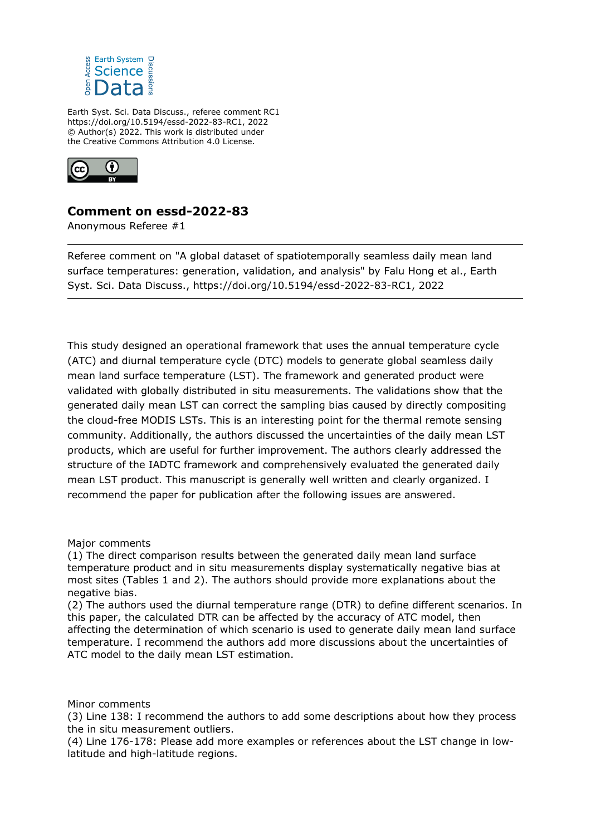

Earth Syst. Sci. Data Discuss., referee comment RC1 https://doi.org/10.5194/essd-2022-83-RC1, 2022 © Author(s) 2022. This work is distributed under the Creative Commons Attribution 4.0 License.



## **Comment on essd-2022-83**

Anonymous Referee #1

Referee comment on "A global dataset of spatiotemporally seamless daily mean land surface temperatures: generation, validation, and analysis" by Falu Hong et al., Earth Syst. Sci. Data Discuss., https://doi.org/10.5194/essd-2022-83-RC1, 2022

This study designed an operational framework that uses the annual temperature cycle (ATC) and diurnal temperature cycle (DTC) models to generate global seamless daily mean land surface temperature (LST). The framework and generated product were validated with globally distributed in situ measurements. The validations show that the generated daily mean LST can correct the sampling bias caused by directly compositing the cloud-free MODIS LSTs. This is an interesting point for the thermal remote sensing community. Additionally, the authors discussed the uncertainties of the daily mean LST products, which are useful for further improvement. The authors clearly addressed the structure of the IADTC framework and comprehensively evaluated the generated daily mean LST product. This manuscript is generally well written and clearly organized. I recommend the paper for publication after the following issues are answered.

Major comments

(1) The direct comparison results between the generated daily mean land surface temperature product and in situ measurements display systematically negative bias at most sites (Tables 1 and 2). The authors should provide more explanations about the negative bias.

(2) The authors used the diurnal temperature range (DTR) to define different scenarios. In this paper, the calculated DTR can be affected by the accuracy of ATC model, then affecting the determination of which scenario is used to generate daily mean land surface temperature. I recommend the authors add more discussions about the uncertainties of ATC model to the daily mean LST estimation.

Minor comments

(3) Line 138: I recommend the authors to add some descriptions about how they process the in situ measurement outliers.

(4) Line 176-178: Please add more examples or references about the LST change in lowlatitude and high-latitude regions.